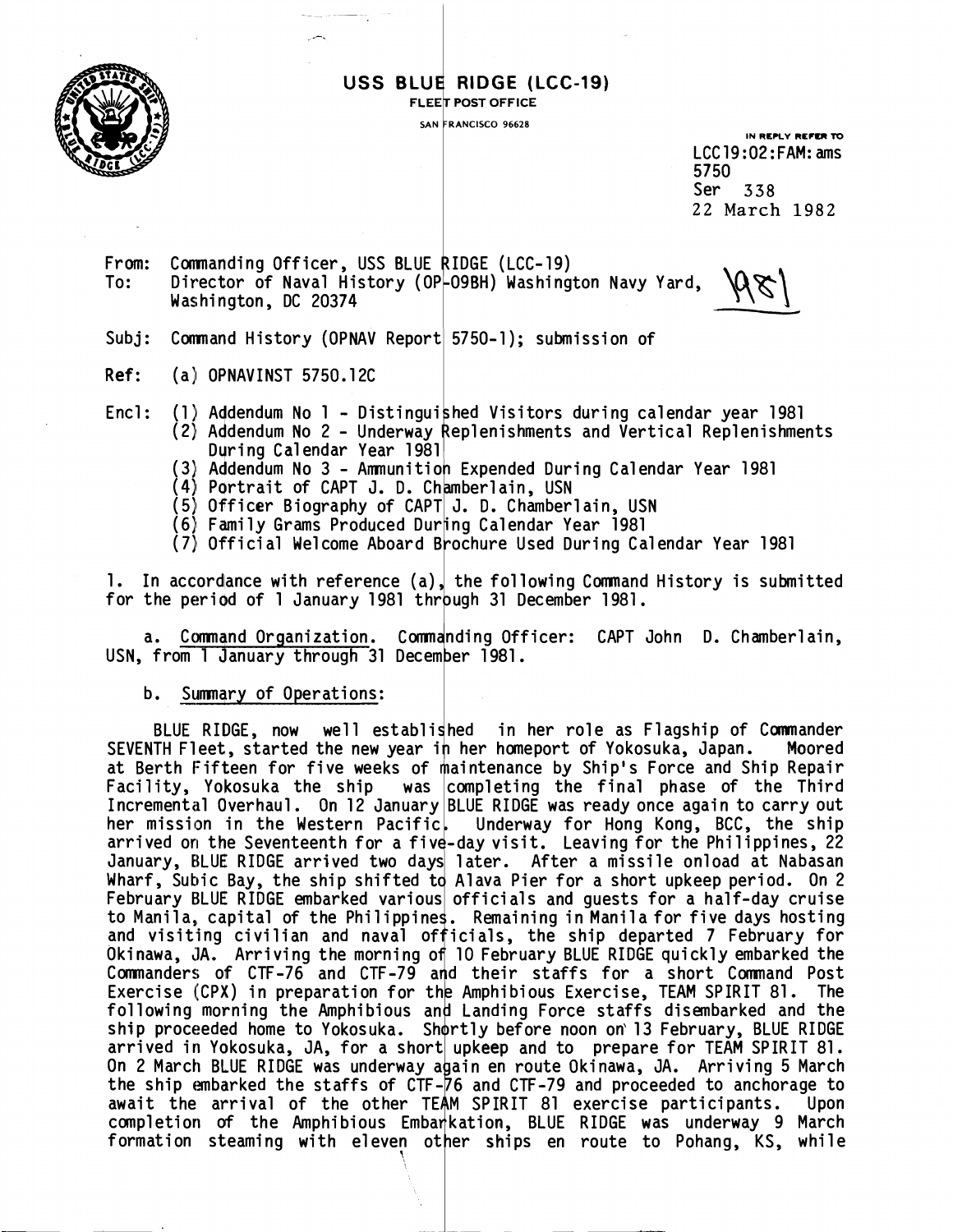

### USS BLUE RIDGE (LCC-19)

**IN REPLY REFER TO** LCC19:02:FAM: ams 5750 Ser **338 22 March 1982** 

From: Commanding Officer, USS BLUE RIDGE (LCC-19)<br>To: Director of Naval History (OP-O9BH) Washington Navy Yard, To: USS BLUE RIDGE (LCC-19)<br>
FLEET POST OFFICE<br>
SAW FRANCISCO 96628<br>
SAW FRANCISCO 96628<br>
LCC 19:02:FAM: ams<br>
5750<br>
Director of Naval History (0P-09BH) Washington Navy Yard,<br>
Mashington, DC 20374<br>
Command History (0PNAV Report

Subj: Command History (OPNAV Report 5750-1); submission of

- **Ref:** (a) OPNAVINST 5750.12C
- Encl: (1) Addendum No 1 Distinguished Visitors during calendar year 1981 (2) Addendum No 2 - Underway Replenishments and Vertical Replenishments During Calendar Year 1981 (1) Addendum No 1 - Distinguished Visitors during calendar year 1981<br>
(2) Addendum No 2 - Underway Replenishments and Vertical Replenishme<br>
During Calendar Year 1981<br>
(3) Addendum No 3 - Ammunition Expended During Calendar
	- (3) Addendum No 3 Ammunition Expended During Calendar Year 1981
	- (4) Portrait of CAPT J. D. Chamberlain, USN
	- (5) Officer Biography of CAPT J. D. Chamberlain, USN
	-
	- (6) Family Grams Produced Dur<mark>ing Calendar Year 1981</mark><br>(7) Official Welcome Aboard Brochure Used During Calendar Year 1981

1. In accordance with reference (a), the following Command History is submitted for the period of 1 January 1981 through 31 December 1981.

a. Command Organization. Commanding Officer: CAPT John D. Chamberlain, USN, from 1 January through 31 December 1981.

#### b. Summary of Operations:

BLUE RIDGE, now well established in her role as Flagship of Commander SEVENTH Fleet, started the new year in her homeport of Yokosuka, Japan. Moored at Berth Fifteen for five weeks of maintenance by Ship's Force and Ship Repair Facility, Yokosuka the ship  $\,$  was  $\,$  completing the final phase of the Third Incremental Overhaul. On 12 January|BLUE RIDGE was ready once again to carry out her mission in the Western Pacific, Underway for Hong Kong, BCC, the ship arrived on the Seventeenth for a five-day visit. Leaving for the Philippines, 22 arrived on the sevenceenth for a rive-uay visit. Leaving for the firitippines, 22<br>January, BLUE RIDGE arrived two days later. After a missile onload at Nabasan Wharf, Subic Bay, the ship shifted to Alava Pier for a short upkeep period. On 2 February BLUE RIDGE embarked various officials and quests for a half-day cruise to Manila, capital of the Philippines. Remaining in Manila for five days hosting and visiting civilian and naval officials, the ship departed 7 February for Okinawa, JA. Arriving the morning of 10 February BLUE RIDGE quickly embarked the Commanders of CTF-76 and CTF-79 and their staffs for a short Command Post Exercise (CPX) in preparation for the Amphibious Exercise, TEAM SPIRIT 81. The following morning the Amphibious and Landing Force staffs disembarked and the ship proceeded home to Yokosuka. Shortly before noon on 13 February, BLUE RIDGE arrived in Yokosuka, JA, for a short upkeep and to prepare for TEAM SPIRIT 81. On 2 March BLUE RIDGE was underway again en route Okinawa, JA. Arriving 5 March the ship embarked the staffs of CTF-76 and CTF-79 and proceeded to anchorage to await the arrival of the other TEAM SPIRIT 81 exercise participants. Upon completion of the Amphibious Embarkation, BLUE RIDGE was underway 9 March formation steaming with eleven other ships en route to Pohang, KS, while

**7**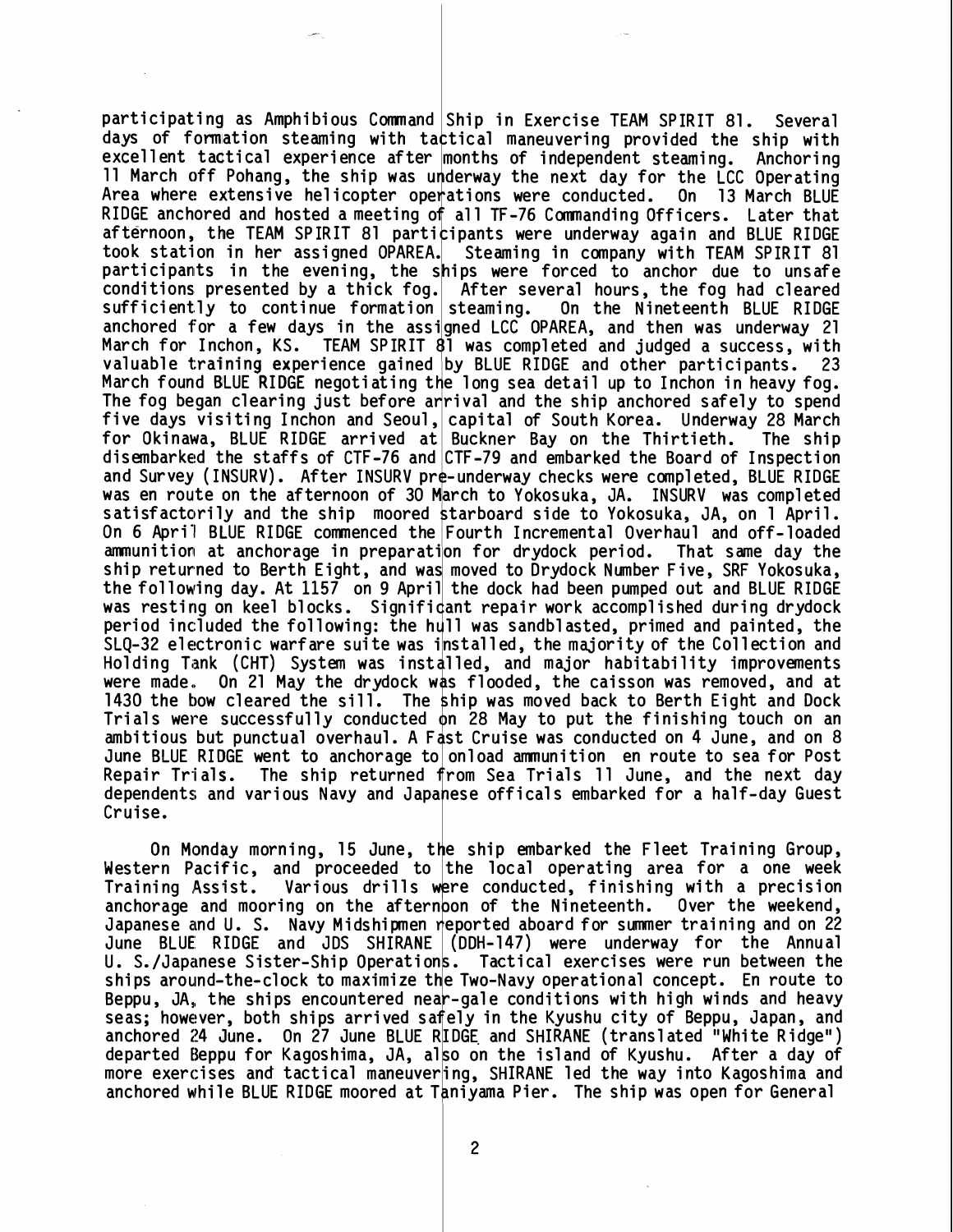participating as Amphibious Command|Ship in Exercise TEAM SPIRIT 81. Several days of formation steaming with tactical maneuvering provided the ship with excellent tactical experience after months of independent steaming. Anchoring excertent tactical experience arte<br>11 March off Pohang, the ship was<br>Area where extensive helicopter op RIDGE anchored and hosted a meeting of all TF-76 Commanding Officers. Later that afternoon, the TEAM SPIRIT 81 participants were underway again and BLUE RIDGE took station in her assigned OPAREA. Steaming in company with TEAM SPIRIT 81 participants in the evening, the ships were forced to anchor due to unsafe conditions presented by a thick fog. After several hours, the fog had cleared  $sufficiently$  to continue formation steaming. anchored for a few days in the assi<sub>l</sub>gned LCC OPAREA, and then was underway 21 March for Inchon, KS. urderway the next day for the LCC Operating Area where extensive helicopter operations were conducted. On 13 March BLUE On the Nineteenth BLUE RIDGE  $\sqrt{1 + 1}$  TEAM SPIRIT  $8\overline{1}$  was completed and judged a success, with valuable training experience gained by BLUE RIDGE and other participants. 23 March found BLUE RIDGE negotiating the long sea detail up to Inchon in heavy fog. The fog began clearing just before anrival and the ship anchored safely to spend five days visiting Inchon and Seoul, capital of South Korea. Underway 28 March for Okinawa, BLUE RIDGE arrived at Buckner Bay on the Thirtieth. The ship disembarked the staffs of CTF-76 and CTF-79 and embarked the Board of Inspection and Survey (INSURV). After INSURV pre-underway checks were completed, BLUE RIDGE was en route on the afternoon of 30 March to Yokosuka, JA. INSURV was completed satisfactorily and the ship moored starboard side to Yokosuka, JA, on 1 April. On 6 April BLUE RIDGE commenced the Fourth Incremental Overhaul and off-loaded ammunition at anchorage in preparation for drydock period. That same day the ship returned to Berth Eight, and was moved to Drydock Number Five, SRF Yokosuka, the following day. At 1157 on 9 April the dock had been pumped out and BLUE RIDGE was resting on keel blocks. Significant repair work accomplished during drydock<br>period included the following: the hull was sandblasted, primed and painted, the period included the following: the hull was sandblasted, primed and painted, the<br>SLQ-32 electronic warfare suite was installed, the majority of the Collection and Holding Tank (CHT) System was installed, and major habitability improvements were made. On 21 May the drydock was flooded, the caisson was removed, and at 1430 the bow cleared the sill. The ship was moved back to Berth Eight and Dock Trials were successfully conducted on 28 May to put the finishing touch on an ambitious but punctual overhaul. A Fast Cruise was conducted on 4 June, and on 8 June BLUE RIDGE went to anchorage to onload ammunition en route to sea for Post Repair Trials. The ship returned from Sea Trials 11 June, and the next day dependents and various Navy and Japanese officals embarked for a half-day Guest Cruise.

On Monday morning, 15 June, the ship embarked the Fleet Training Group. Western Pacific, and proceeded to the local operating area for a one week Training Assist. Various drills were conducted, finishing with a precision anchorage and mooring on the afternoon of the Nineteenth. Over the weekend, Japanese and U. S. Navy Midshipmen reported aboard for summer training and on 22 June BLUE RIDGE and JDS SHIRANE (DDH-147) were underway for the Annual U. S./Japanese Sister-Ship Operations. Tactical exercises were run between the ships around-the-clock to maximize the Two-Navy operational concept. En route to Beppu, JA, the ships encountered near-gale conditions with high winds and heavy seas; however, both ships arrived safely in the Kyushu city of Beppu, Japan, and anchored 24 June. On 27 June BLUE RIDGE and SHIRANE (translated "White Ridge") departed Beppu for Kagoshima, JA, also on the island of Kyushu. After a day of more exercises and tactical maneuvering, SHIRANE led the way into Kagoshima and anchored while BLUE RIDGE moored at Taniyama Pier. The ship was open for General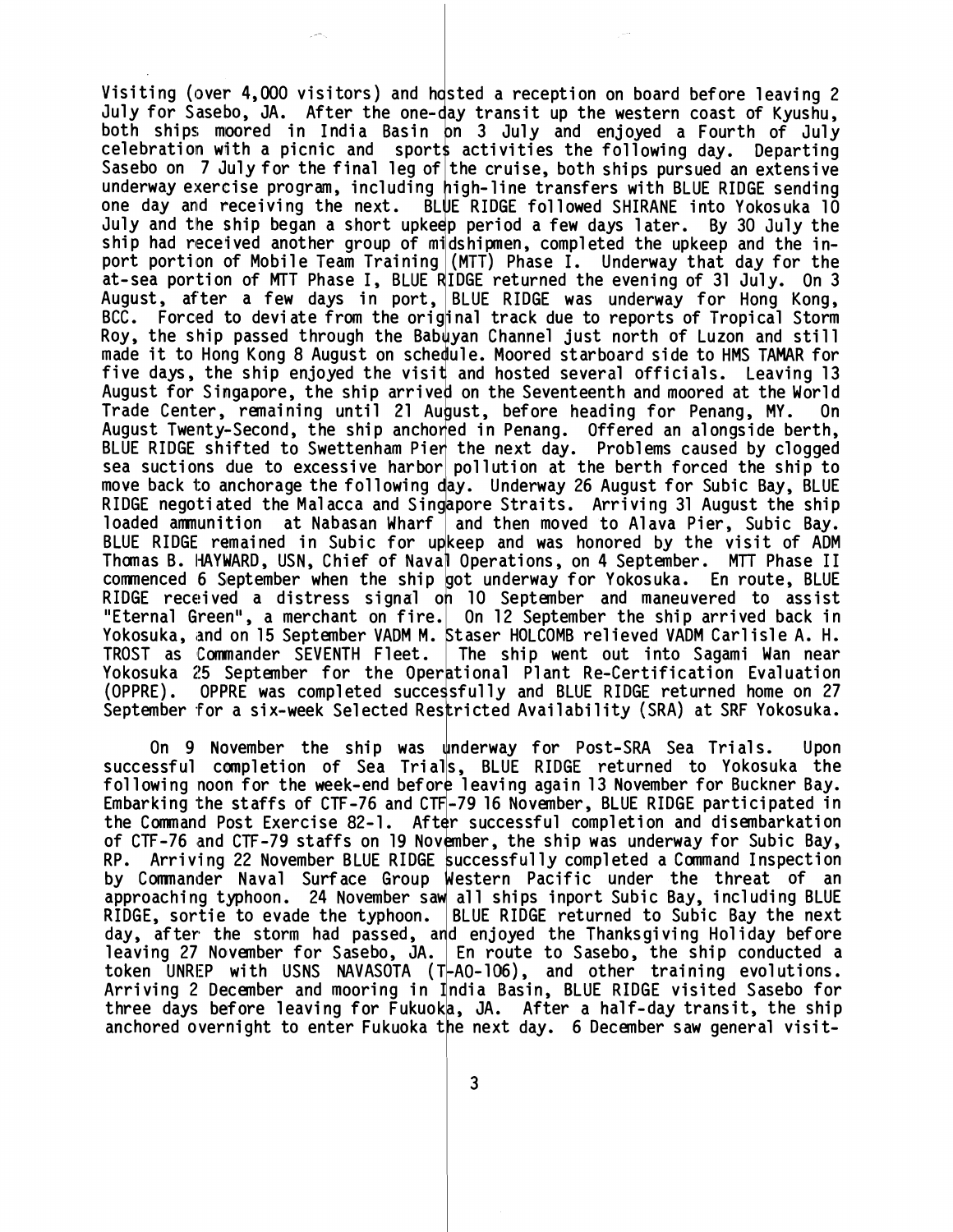Visiting (over 4,000 visitors) and hosted a reception on board before leaving 2<br>July for Sasebo, JA. After the one-day transit up the western coast of Kyushu, both ships moored in India Basin on 3 July and enjoyed a Fourth of July celebration with a picnic and sports activities the following day. Departing Sasebo on 7 July for the final leg of the cruise, both ships pursued an extensive underway exercise program, including high-line transfers with BLUE RIDGE sending one day and receiving the next. BLUE RIDGE followed SHIRANE into Yokosuka 10 July and the ship began a short upkeep period a few days later. By 30 July the ship had received another group of midshipmen, completed the upkeep and the inport portion of Mobile Team Training (MTT) Phase I. Underway that day for the<br>port portion of Mobile Team Training (MTT) Phase I. Underway that day for the<br>part connection of MTT Phase I. BLUE RIDGE pottward the cusping of ation is the sea portion of Mobile Team Training (MTT) Phase I. Underway that day for the<br>at-sea portion of MTT Phase I, BLUE RIDGE returned the evening of 31 July. On 3<br>August after a few days in port BLUE PIDGE was under August, after a few days in port, BLUE RIDGE was underway for Hong Kong, BCC. Forced to deviate from the original track due to reports of Tropical Storm Roy, the ship passed through the Babuyan Channel just north of Luzon and still Roy, the ship passed through the babayan thankel just horth of Euzon and still<br>made it to Hong Kong 8 August on schedule. Moored starboard side to HMS TAMAR for<br>five days, the ship enjoyed the visit and hosted several offi August for Singapore, the ship arrived on the Seventeenth and moored at the World Trade Center, remaining until 21 August, before heading for Penang, MY. On August Twenty-Second, the ship anchoned in Penang. Offered an alongside berth, BLUE RIDGE shifted to Swettenham Pien the next day. Problems caused by clogged sea suctions due to excessive harbor pollution at the berth forced the ship to move back to anchorage the following day. Underway 26 August for Subic Bay, BLUE RIDGE negoti ated the Ma1 acca and Singapore Straits. Arriving 31 August the ship loaded ammunition at Nabasan Wharf | and then moved to Alava Pier, Subic Bay. BLUE RIDGE remained in Subic for upkeep and was honored by the visit of ADM Thunas B. I-IAYWARD, USN, Chief of Naval Operations, on 4 September. **MTT** Phase I1 commenced 6 September when the ship got underway for Yokosuka. En route, BLUE RIDGE received a distress signal on 10 September and maneuvered to assist "Eternal Green", a merchant on fire.| On 12 September the ship arrived back in Yokosuka, and on 15 September VADM M. Staser HOLCOMB relieved VADM Carlisle A. H. TROST as Commander SEVENTH Fleet. The ship went out into Sagami Wan near Yokosuka 25 September for the Operational Plant Re-Certification Evaluation (OPPRE). OPPRE was completed successfully and BLUE RIDGE returned home on 27 September for a six-week Selected Restricted Availability (SRA) at SRF Yokosuka.

On 9 November the ship was underway for Post-SRA Sea Trials. Upon successful cmpletion of Sea Trials, BLUE RIDGE returned to Yokosuka the succession compression of sea friday, best whose recarned to rowosaka one for buckner bay. Embarking the staffs of CTF-76 and CTF-79 16 November, BLUE RIDGE participated in the Command Post Exercise 82-1. After successful completion and disembarkation of CTF-76 and CTF-79 staffs on 19 November, the ship was underway for Subic Bay, RP. Arriving 22 November BLUE RIDGE successful ly completed a Command Inspection by Commander Naval Surface Group Western Pacific under the threat of an approaching t*y*phoon. 24 November saw all ships inport Subic Bay, including BLUE RIDGE, sortie to evade the typhoon. BLUE RIDGE returned to Subic Bay the next day, after the storm had passed, ard enjoyed the Thanksgiving Holiday before leaving 27 November for Sasebo, JA. | En route to Sasebo, the ship conducted a token UNREP with USNS NAVASOTA (T-AO-106), and other training evolutions. Arriving 2 December and mooring in India Basin, BLUE RIDGE visited Sasebo for three days before leaving for Fukuoka, JA. After a half-day transit, the ship anchored overnight to enter Fukuoka the next day. 6 December saw general visit-

3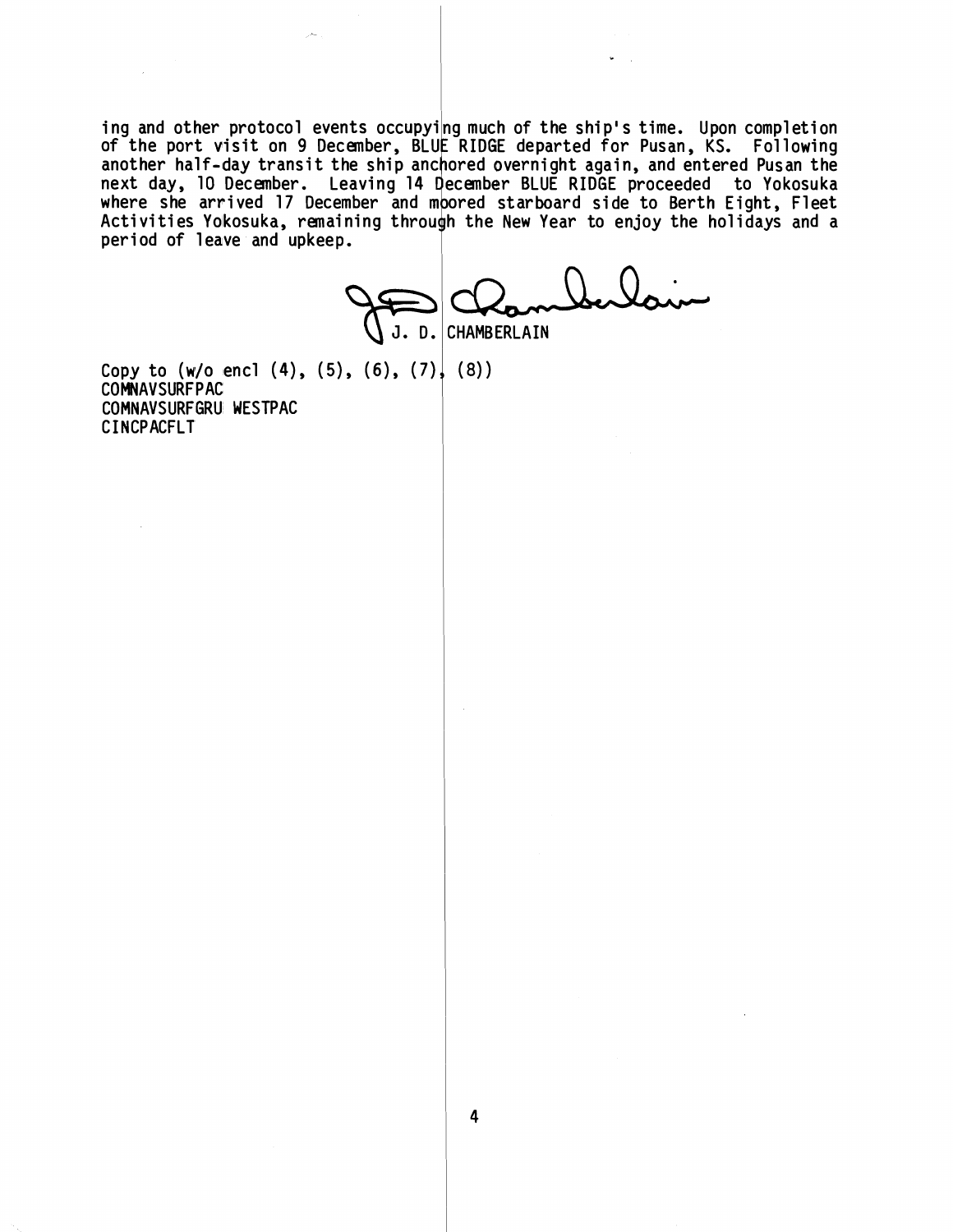ing and other protocol events occupying much of the ship's time. Upon completion **of the port visit on 9**  another half-day transit the ship anchored overnight again, and entered Pusan the next day, 10 December. Leaving 14 December BLUE RIDGE proceeded to Yokosuka where she arrived 17 December and moored starboard side to Berth Eight, Fleet Activities Yokosuka, remaining through the New Year to enjoy the holidays and a period of leave and upkeep.

U **J.** D . **CHAMBERLAIN** 

 $\sim$   $\sim$ 

Copy to (w/o encl (4), (5), (6), (7), (8))<br>COMNAVSURFPAC **COMNAVSURFGRU WESTPAC CINCPACFLT** 

 $\sim$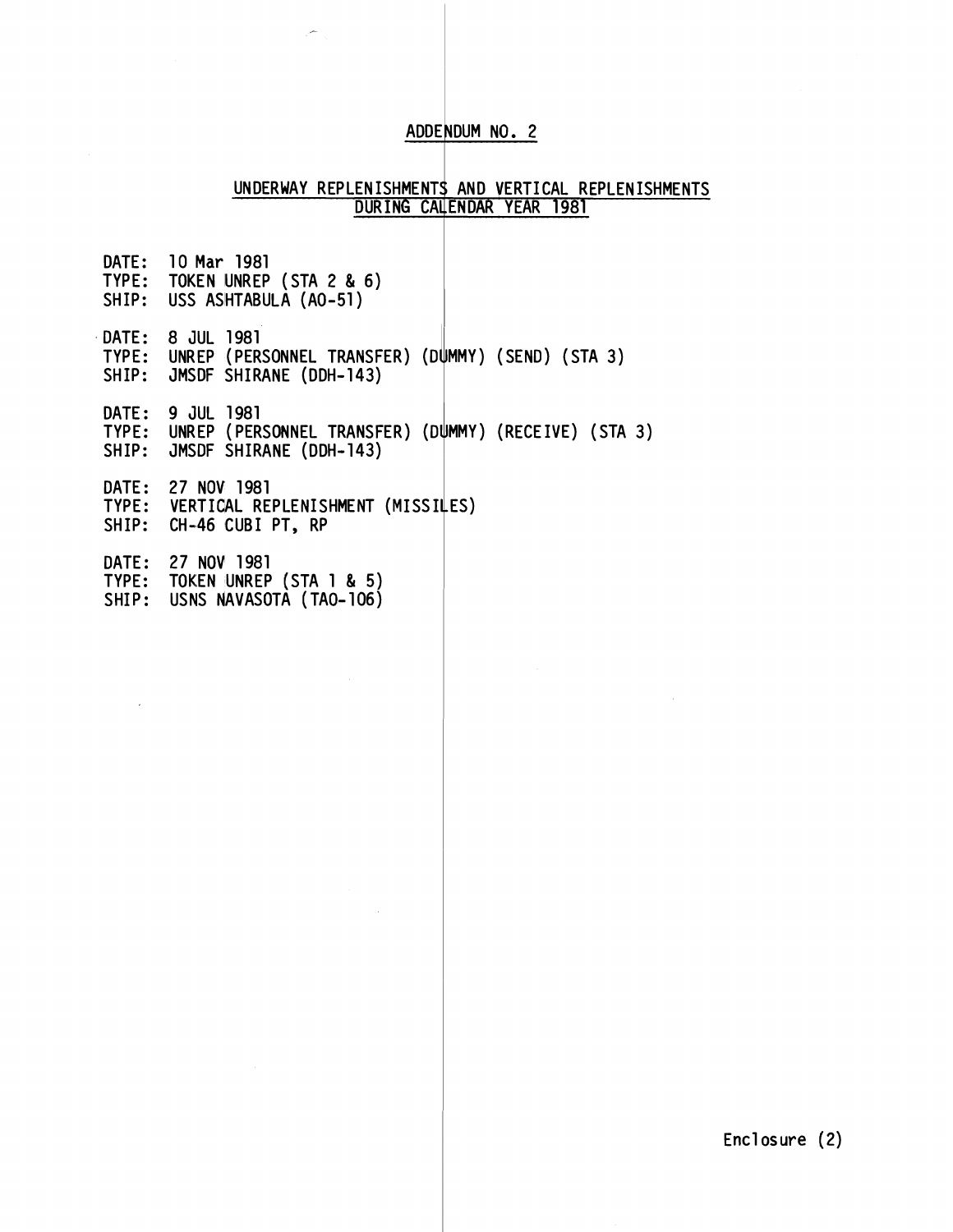## ADDENDUM NO. 2

#### UNDERWAY REPLENISHMENIS <u>DURING CA</u> ; AND VERTICAL REPLENISHMENTS .ENDAR YEAR 1981

| SHIP: | DATE: 10 Mar 1981<br>TYPE: TOKEN UNREP (STA 2 & 6)<br>USS ASHTABULA (AO-51)                                     |
|-------|-----------------------------------------------------------------------------------------------------------------|
|       | DATE: 8 JUL 1981<br>TYPE: UNREP (PERSONNEL TRANSFER) (DUMMY) (SEND) (STA 3)<br>SHIP: JMSDF SHIRANE (DDH-143)    |
|       | DATE: 9 JUL 1981<br>TYPE: UNREP (PERSONNEL TRANSFER) (DUMMY) (RECEIVE) (STA 3)<br>SHIP: JMSDF SHIRANE (DDH-143) |
|       | DATE: 27 NOV 1981<br>TYPE: VERTICAL REPLENISHMENT (MISSILES)<br>SHIP: CH-46 CUBI PT, RP                         |
| DATE: | 27 NOV 1981<br>TYPE: TOKEN UNREP (STA 1 & 5)<br>SHIP: USNS NAVASOTA (TAO-106)                                   |

 $\mathcal{L}_{\text{in}}$ 

 $\mathcal{A}$ 

Encl osure (2)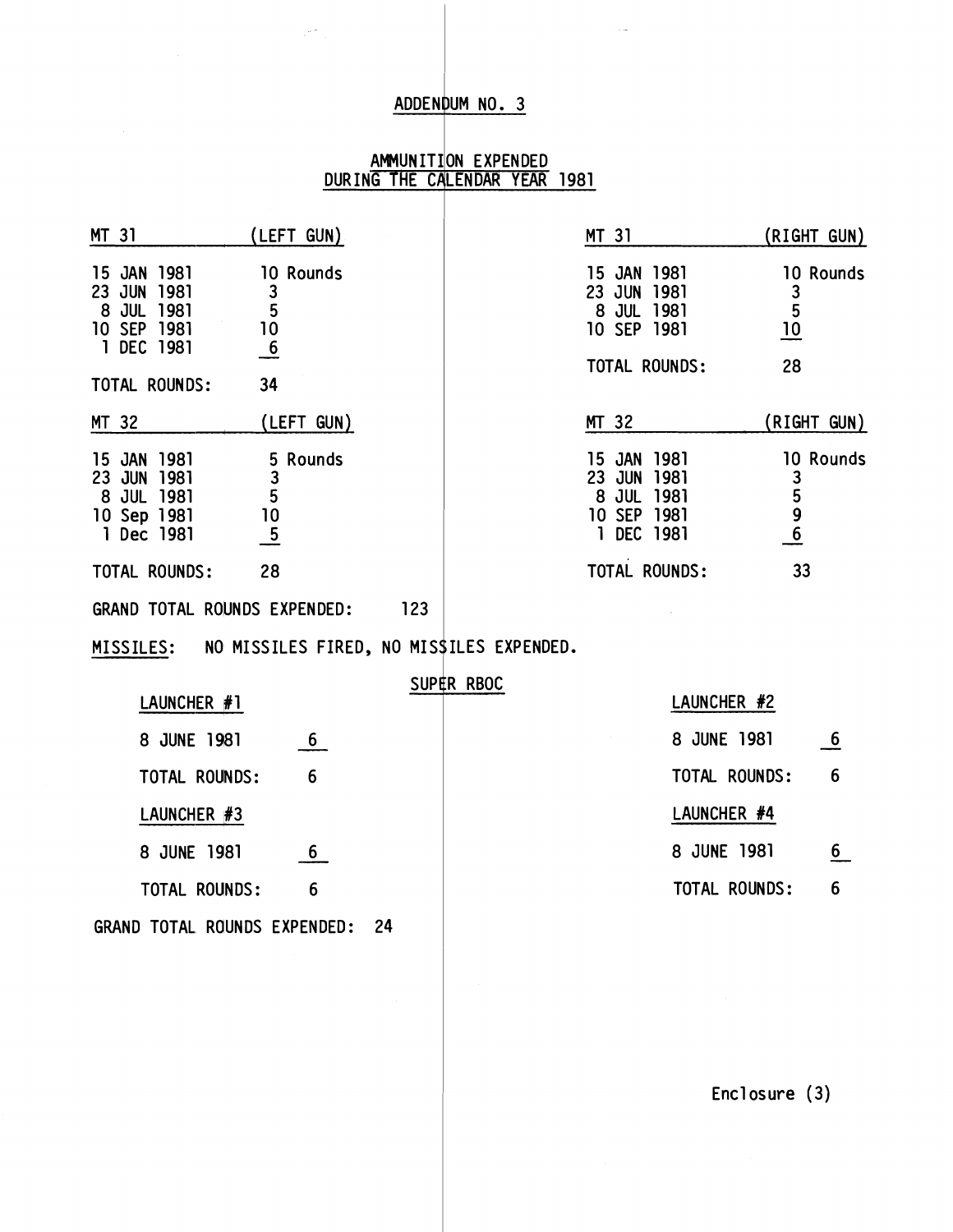#### ADDENDUM NO. 3

#### AMMUNIILON EXPENDED DURING THE CALENDAR YEAR 1981

| MT 31                                                                    | (LEFT GUN)                                          |     |            | MT 31                                                                                    |             | (RIGHT GUN)                                                         |
|--------------------------------------------------------------------------|-----------------------------------------------------|-----|------------|------------------------------------------------------------------------------------------|-------------|---------------------------------------------------------------------|
| 15 JAN 1981<br>23 JUN<br>1981<br>8 JUL 1981<br>10 SEP 1981<br>1 DEC 1981 | 10 Rounds<br>$\frac{3}{5}$<br>10<br>$\underline{6}$ |     |            | JAN<br>1981<br>15<br>JUN<br>1981<br>23<br>8 JUL 1981<br>10 SEP 1981                      |             | 10 Rounds<br>$\begin{array}{c}\n3 \\ 5 \\ 10\n\end{array}$          |
| TOTAL ROUNDS:                                                            | 34                                                  |     |            | TOTAL ROUNDS:                                                                            |             | 28                                                                  |
| MT 32                                                                    | (LEFT GUN)                                          |     |            | MT 32                                                                                    |             | (RIGHT GUN)                                                         |
| 15 JAN 1981<br>23 JUN 1981<br>8 JUL 1981<br>10 Sep 1981<br>1 Dec 1981    | 5 Rounds<br>3<br>5<br>10<br>$\frac{5}{1}$           |     |            | 1981<br>JAN<br>15<br>23<br><b>JUN</b><br>1981<br>8 JUL 1981<br>10 SEP 1981<br>1 DEC 1981 |             | 10 Rounds<br>$\begin{array}{c}\n 3 \\  5 \\  9 \\  6\n \end{array}$ |
| TOTAL ROUNDS:                                                            | 28                                                  |     |            | TOTAL ROUNDS:                                                                            |             | 33                                                                  |
|                                                                          | GRAND TOTAL ROUNDS EXPENDED:                        | 123 |            |                                                                                          |             |                                                                     |
|                                                                          | MISSILES: NO MISSILES FIRED, NO MISSILES EXPENDED.  |     |            |                                                                                          |             |                                                                     |
|                                                                          | LAUNCHER #1                                         |     | SUPER RBOC |                                                                                          | LAUNCHER #2 |                                                                     |
|                                                                          | 6<br>8 JUNE 1981                                    |     |            |                                                                                          | 8 JUNE 1981 | $6 \overline{}$                                                     |

| LAUNCHER #1                  |      | SUPER RBOC | LAUNCHER #2   |                 |
|------------------------------|------|------------|---------------|-----------------|
| 8 JUNE 1981                  | 6    |            | 8 JUNE 1981   | $6\overline{6}$ |
| TOTAL ROUNDS:                | 6    |            | TOTAL ROUNDS: | 6               |
| LAUNCHER #3                  |      |            | LAUNCHER #4   |                 |
| 8 JUNE 1981                  | 6    |            | 8 JUNE 1981   | 6               |
| TOTAL ROUNDS:                | 6    |            | TOTAL ROUNDS: | 6               |
| GRAND TOTAL ROUNDS EXPENDED: | - 24 |            |               |                 |

Encl osure (3)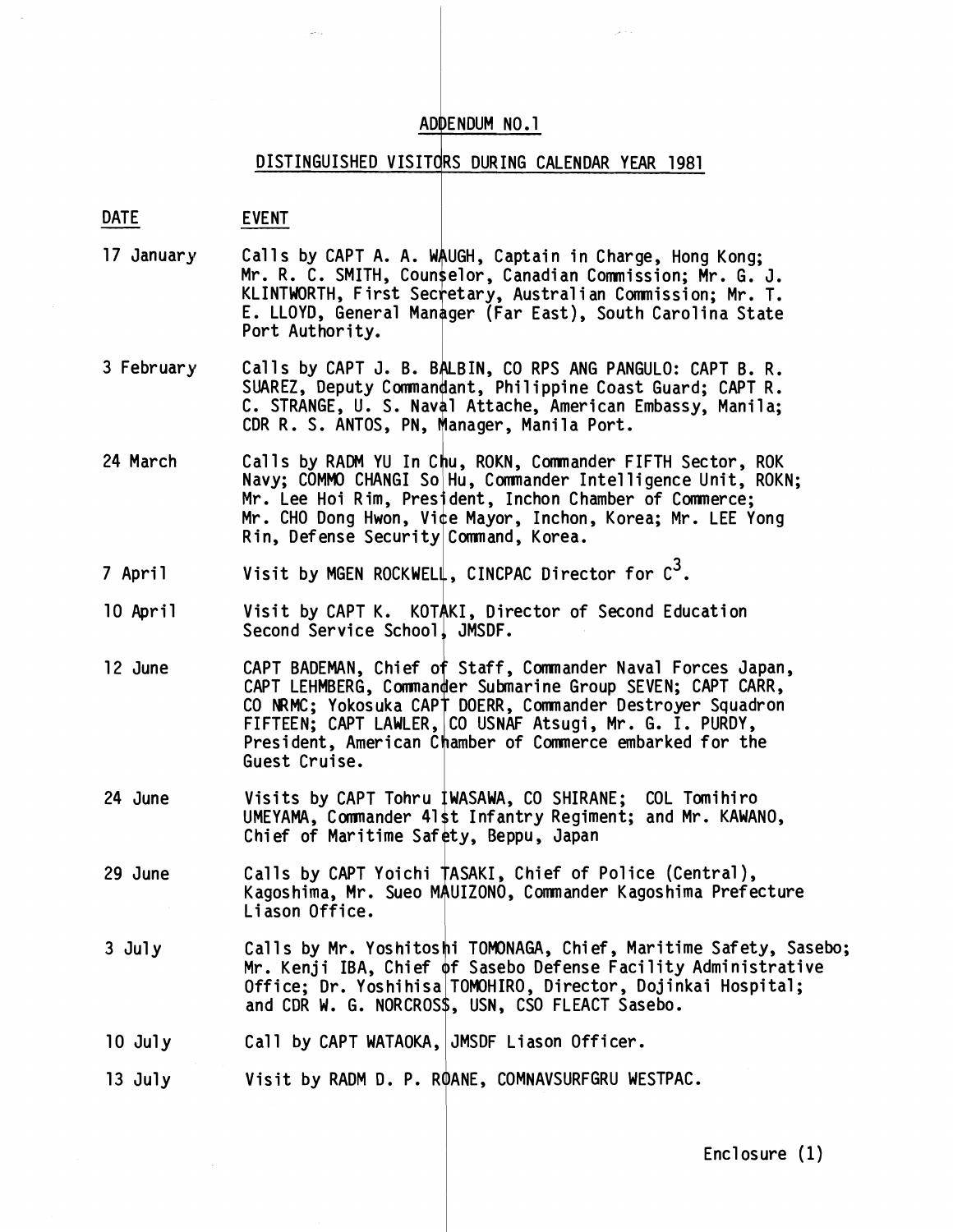# ADD<br>
DISTINGUISHED VISITO<br>
DATE EVENT<br>
EVENT<br>
17 January Calls by CAPT A A W DISTINGUISHED VISITORS DURING CALENDAR YEAR 1981

- 17 January Calls by CAPT A. A. WAUGH, Captain in Charge, Hong Kong; Mr. R. C. SMITH, Counselor, Canadian Commission; Mr. G. J. KLINTWORTH, First Secretary, Australian Commission; Mr. T. E. LLOYD, General Manager (Far East), South Carolina State Port Authority.
- 3 February Calls by CAPT J. B. BALBIN, CO RPS ANG PANGULO: CAPT B. R. SUAREZ, Deputy Commandant, Philippine Coast Guard; CAPT R.<br>C. STRANGE, U. S. Naval Attache, American Embassy, Manila;<br>CDR R. S. ANTOS, PN, Manager, Manila Port. C. STRANGE, U. S. Naval Attache, American Embassy, Manila;
- 24 March Calls by RADM YU In Chu, ROKN, Commander FIFTH Sector, ROK Navy; COMMO CHANGI So Hu, Commander Intelligence Unit, ROKN; Mr. Lee Hoi Rim, President, Inchon Chamber of Commerce; Mr. CHO Dong Hwon, Vice Mayor, Inchon, Korea; Mr. LEE Yong Rin, Defense Security Command, Korea.
- 7 April Visit by MGEN ROCKWELL, CINCPAC Director for  $c^3$ .
- 10 April Visit by CAPT K. KOTAKI, Director of Second Education Second Service School, JMSDF.
- 12 June CAPT BADEMAN, Chief of Staff, Commander Naval Forces Japan, CAPT LEHMBERG, Commander Submarine Group SEVEN; CAPT CARR, CO NRMC; Yokosuka CAPT DOERR, Commander Destro*y*er Squadron CAPI LEHMBERG, Commanger Submarine Group SEVEN; CAPI CA<br>CO NRMC; Yokosuka CAPT DOERR, Commander Destroyer Squad<br>FIFTEEN; CAPT LAWLER, CO USNAF Atsugi, Mr. G. I. PURDY,<br>Prosident, American Chambon of Commance ombanked for t President, American Chamber of Commerce embarked for the Guest Cruise.
- 24 June Visits by CAPT Tohru IWASAWA, CO SHIRANE; COL Tomihiro<br>UMEYAMA, Commander 41st Infantry Regiment; and Mr. KAWAN<br>Chief of Maritime Safety, Beppu, Japan<br>Calls by CAPT Yoichi TASAKI. Chief of Police (Central). UMEYAMA, Commander 41st Infantry Regiment; and Mr. KAWANO,<br>Chief of Maritime Safety, Beppu, Japan
- 29 June Calls by CAPT Yoichi TASAKI, Chief of Police (Central), Kagoshima, Mr. Sueo MAUIZONO, Commander Kagoshima Prefecture Liason Office.
- 3 July Calls by Mr. Yoshitoshi TOMONAGA, Chief, Maritime Safety, Sasebo; Mr. Kenji IBA, Chief of Sasebo Defense Facility Administrative Office; Dr. Yoshihisa|TOMOHIRO, Director, Dojinkai Hospital;<br>and CDR W. G. NORCROS\$, USN, CSO FLEACT Sasebo.
- 10 July Call by CAPT WATAOKA, JMSDF Liason Officer.

13 July Visit by RADM D. P. ROANE, COMNAVSURFGRU WESTPAC.

 $Enclosure(1)$